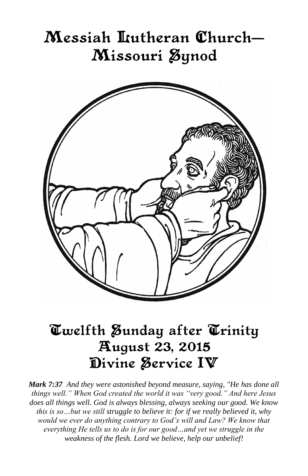# Messiah Itutheran Church– Missouri Øynod



# Twelfth Sunday after Trinity August 23, 2015 Divine Service IV

*Mark 7:37 And they were astonished beyond measure, saying, "He has done all things well." When God created the world it was "very good." And here Jesus does all things well. God is always blessing, always seeking our good. We know this is so…but we still struggle to believe it: for if we really believed it, why would we ever do anything contrary to God's will and Law? We know that everything He tells us to do is for our good…and yet we struggle in the weakness of the flesh. Lord we believe, help our unbelief!*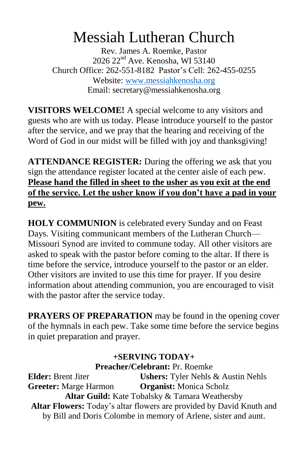# Messiah Lutheran Church

Rev. James A. Roemke, Pastor 2026 22nd Ave. Kenosha, WI 53140 Church Office: 262-551-8182 Pastor's Cell: 262-455-0255 Website: [www.messiahkenosha.org](http://www.messiahkenosha.org/) Email: secretary@messiahkenosha.org

**VISITORS WELCOME!** A special welcome to any visitors and guests who are with us today. Please introduce yourself to the pastor after the service, and we pray that the hearing and receiving of the Word of God in our midst will be filled with joy and thanksgiving!

**ATTENDANCE REGISTER:** During the offering we ask that you sign the attendance register located at the center aisle of each pew. **Please hand the filled in sheet to the usher as you exit at the end of the service. Let the usher know if you don't have a pad in your pew.**

**HOLY COMMUNION** is celebrated every Sunday and on Feast Days. Visiting communicant members of the Lutheran Church— Missouri Synod are invited to commune today. All other visitors are asked to speak with the pastor before coming to the altar. If there is time before the service, introduce yourself to the pastor or an elder. Other visitors are invited to use this time for prayer. If you desire information about attending communion, you are encouraged to visit with the pastor after the service today.

**PRAYERS OF PREPARATION** may be found in the opening cover of the hymnals in each pew. Take some time before the service begins in quiet preparation and prayer.

## **+SERVING TODAY+**

**Preacher/Celebrant:** Pr. Roemke

**Elder:** Brent Jiter **Ushers:** Tyler Nehls & Austin Nehls **Greeter:** Marge Harmon **Organist:** Monica Scholz **Altar Guild:** Kate Tobalsky & Tamara Weathersby **Altar Flowers:** Today's altar flowers are provided by David Knuth and by Bill and Doris Colombe in memory of Arlene, sister and aunt.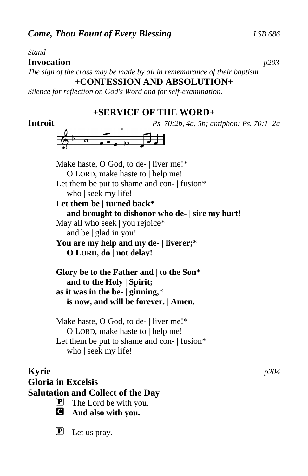#### *Stand*

#### **Invocation** *p203*

*The sign of the cross may be made by all in remembrance of their baptism.* **+CONFESSION AND ABSOLUTION+**

*Silence for reflection on God's Word and for self-examination.*

### **+SERVICE OF THE WORD+**

**Introit** *Ps. 70:2b, 4a, 5b; antiphon: Ps. 70:1–2a*



Make haste, O God, to de- | liver me!\* O LORD, make haste to | help me! Let them be put to shame and con- | fusion\* who | seek my life! **Let them be | turned back\* and brought to dishonor who de- | sire my hurt!** May all who seek | you rejoice<sup>\*</sup> and be | glad in you! **You are my help and my de- | liverer;\* O LORD, do | not delay! Glory be to the Father and** | **to the Son**\*  **and to the Holy** | **Spirit; as it was in the be-** | **ginning,**\*  **is now, and will be forever.** | **Amen.**

Make haste, O God, to de- | liver me!\* O LORD, make haste to | help me! Let them be put to shame and con- | fusion\* who | seek my life!

# **Kyrie** *p204* **Gloria in Excelsis Salutation and Collect of the Day**  $\mathbf{P}$  The Lord be with you.

- C **And also with you.**
- **P** Let us pray.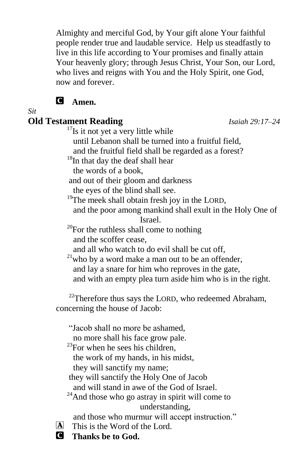Almighty and merciful God, by Your gift alone Your faithful people render true and laudable service. Help us steadfastly to live in this life according to Your promises and finally attain Your heavenly glory; through Jesus Christ, Your Son, our Lord, who lives and reigns with You and the Holy Spirit, one God, now and forever.

# C **Amen.**

*Sit*

# **Old Testament Reading** *Isaiah 29:17–24*

 $17$ Is it not yet a very little while

until Lebanon shall be turned into a fruitful field,

and the fruitful field shall be regarded as a forest?

<sup>18</sup>In that day the deaf shall hear

the words of a book,

and out of their gloom and darkness

the eyes of the blind shall see.

<sup>19</sup>The meek shall obtain fresh joy in the LORD,

 and the poor among mankind shall exult in the Holy One of Israel.

 $20$ For the ruthless shall come to nothing and the scoffer cease,

and all who watch to do evil shall be cut off,

 $21$ who by a word make a man out to be an offender, and lay a snare for him who reproves in the gate, and with an empty plea turn aside him who is in the right.

 $22$ Therefore thus says the LORD, who redeemed Abraham, concerning the house of Jacob:

"Jacob shall no more be ashamed,

no more shall his face grow pale.

 $^{23}$ For when he sees his children,

the work of my hands, in his midst,

they will sanctify my name;

they will sanctify the Holy One of Jacob

and will stand in awe of the God of Israel.

 $24$ And those who go astray in spirit will come to understanding,

and those who murmur will accept instruction."

 $\overline{A}$  This is the Word of the Lord.

C **Thanks be to God.**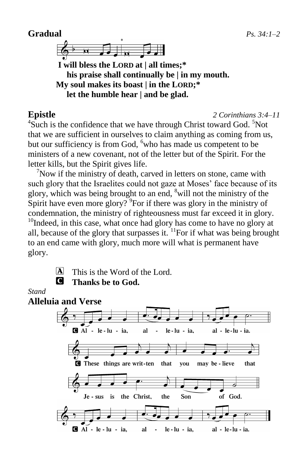# **Gradual** *Ps. 34:1–2*



**I will bless the LORD at | all times;\* his praise shall continually be | in my mouth. My soul makes its boast | in the LORD;\* let the humble hear | and be glad.**

#### **Epistle** *2 Corinthians 3:4–11*

 ${}^{4}$ Such is the confidence that we have through Christ toward God.  ${}^{5}$ Not that we are sufficient in ourselves to claim anything as coming from us, but our sufficiency is from God, <sup>6</sup>who has made us competent to be ministers of a new covenant, not of the letter but of the Spirit. For the letter kills, but the Spirit gives life.

 $\sqrt{7}$ Now if the ministry of death, carved in letters on stone, came with such glory that the Israelites could not gaze at Moses' face because of its glory, which was being brought to an end,  $\delta$  will not the ministry of the Spirit have even more glory?  $\degree$  For if there was glory in the ministry of condemnation, the ministry of righteousness must far exceed it in glory.  $10$ Indeed, in this case, what once had glory has come to have no glory at all, because of the glory that surpasses it.  $\frac{11}{1}$ For if what was being brought to an end came with glory, much more will what is permanent have glory.

- 
- $[A]$  This is the Word of the Lord.
	- C **Thanks be to God.**

### *Stand*

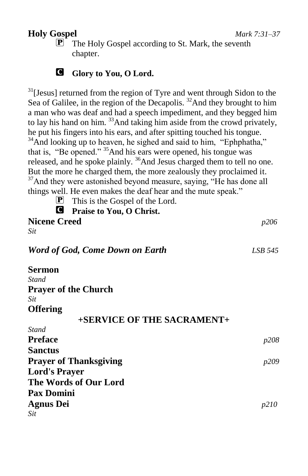# **Holy Gospel** *Mark 7:31–37*

**P** The Holy Gospel according to St. Mark, the seventh chapter.

## C **Glory to You, O Lord.**

 $31$ [Jesus] returned from the region of Tyre and went through Sidon to the Sea of Galilee, in the region of the Decapolis.<sup>32</sup>And they brought to him a man who was deaf and had a speech impediment, and they begged him to lay his hand on him. <sup>33</sup>And taking him aside from the crowd privately, he put his fingers into his ears, and after spitting touched his tongue.  $34\text{ And looking up to heavier, he signed and said to him, "Ephphatha,"}$ that is, "Be opened." <sup>35</sup>And his ears were opened, his tongue was released, and he spoke plainly. <sup>36</sup>And Jesus charged them to tell no one. But the more he charged them, the more zealously they proclaimed it.  $37$ And they were astonished beyond measure, saying, "He has done all things well. He even makes the deaf hear and the mute speak."

P This is the Gospel of the Lord.

| <b>Q</b> Praise to You, O Christ. |              |
|-----------------------------------|--------------|
| <b>Nicene Creed</b>               | <i>p</i> 206 |
| Sit                               |              |
| Word of God, Come Down on Earth   | LSB 545      |
| Sermon                            |              |
| Stand                             |              |
| <b>Prayer of the Church</b>       |              |
| Sit                               |              |
| <b>Offering</b>                   |              |
| +SERVICE OF THE SACRAMENT+        |              |
| Stand                             |              |
| Preface                           | <i>p</i> 208 |
| Sanctus                           |              |
| <b>Prayer of Thanksgiving</b>     | p209         |
| <b>Lord's Prayer</b>              |              |
| The Words of Our Lord             |              |
| <b>Pax Domini</b>                 |              |
| Agnus Dei                         | p210         |
| Sit                               |              |
|                                   |              |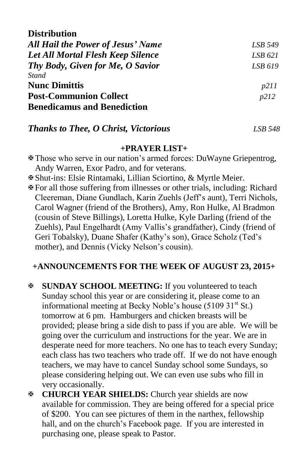| LSB 549 |
|---------|
| LSB 621 |
| LSB 619 |
|         |
| p211    |
| p212    |
|         |
|         |

### *Thanks to Thee, O Christ, Victorious LSB 548*

#### **+PRAYER LIST+**

- Those who serve in our nation's armed forces: DuWayne Griepentrog, Andy Warren, Exor Padro, and for veterans.
- Shut-ins: Elsie Rintamaki, Lillian Sciortino, & Myrtle Meier.
- For all those suffering from illnesses or other trials, including: Richard Cleereman, Diane Gundlach, Karin Zuehls (Jeff's aunt), Terri Nichols, Carol Wagner (friend of the Brothers), Amy, Ron Hulke, Al Bradmon (cousin of Steve Billings), Loretta Hulke, Kyle Darling (friend of the Zuehls), Paul Engelhardt (Amy Vallis's grandfather), Cindy (friend of Geri Tobalsky), Duane Shafer (Kathy's son), Grace Scholz (Ted's mother), and Dennis (Vicky Nelson's cousin).

## **+ANNOUNCEMENTS FOR THE WEEK OF AUGUST 23, 2015+**

- **SUNDAY SCHOOL MEETING:** If you volunteered to teach Sunday school this year or are considering it, please come to an informational meeting at Becky Noble's house  $(5109 31<sup>st</sup> St.)$ tomorrow at 6 pm. Hamburgers and chicken breasts will be provided; please bring a side dish to pass if you are able. We will be going over the curriculum and instructions for the year. We are in desperate need for more teachers. No one has to teach every Sunday; each class has two teachers who trade off. If we do not have enough teachers, we may have to cancel Sunday school some Sundays, so please considering helping out. We can even use subs who fill in very occasionally.
- **CHURCH YEAR SHIELDS:** Church year shields are now available for commission. They are being offered for a special price of \$200. You can see pictures of them in the narthex, fellowship hall, and on the church's Facebook page. If you are interested in purchasing one, please speak to Pastor.